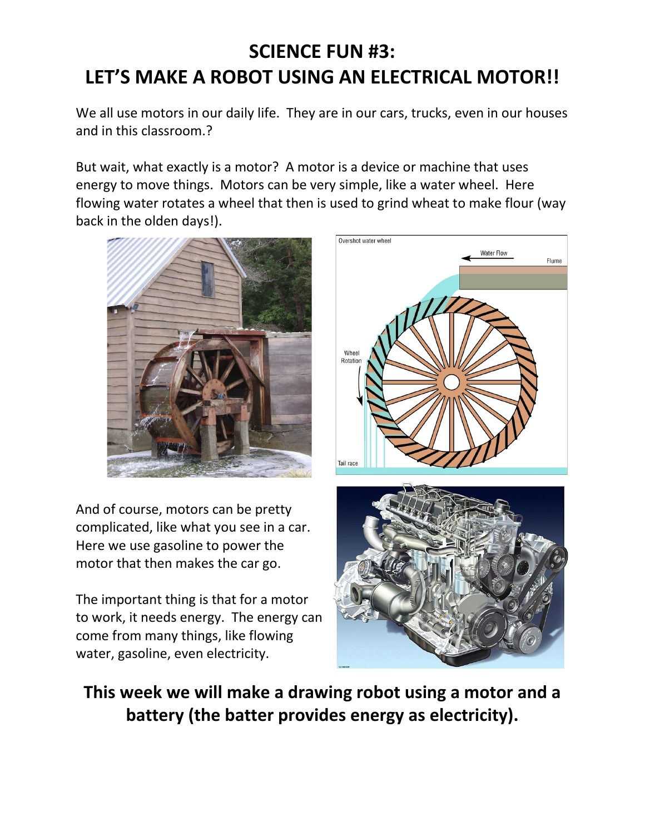# **SCIENCE FUN #3: LET'S MAKE A ROBOT USING AN ELECTRICAL MOTOR!!**

We all use motors in our daily life. They are in our cars, trucks, even in our houses and in this classroom.?

But wait, what exactly is a motor? A motor is a device or machine that uses energy to move things. Motors can be very simple, like a water wheel. Here flowing water rotates a wheel that then is used to grind wheat to make flour (way back in the olden days!).



And of course, motors can be pretty complicated, like what you see in a car. Here we use gasoline to power the motor that then makes the car go.

The important thing is that for a motor to work, it needs energy. The energy can come from many things, like flowing water, gasoline, even electricity.



**This week we will make a drawing robot using a motor and a battery (the batter provides energy as electricity).**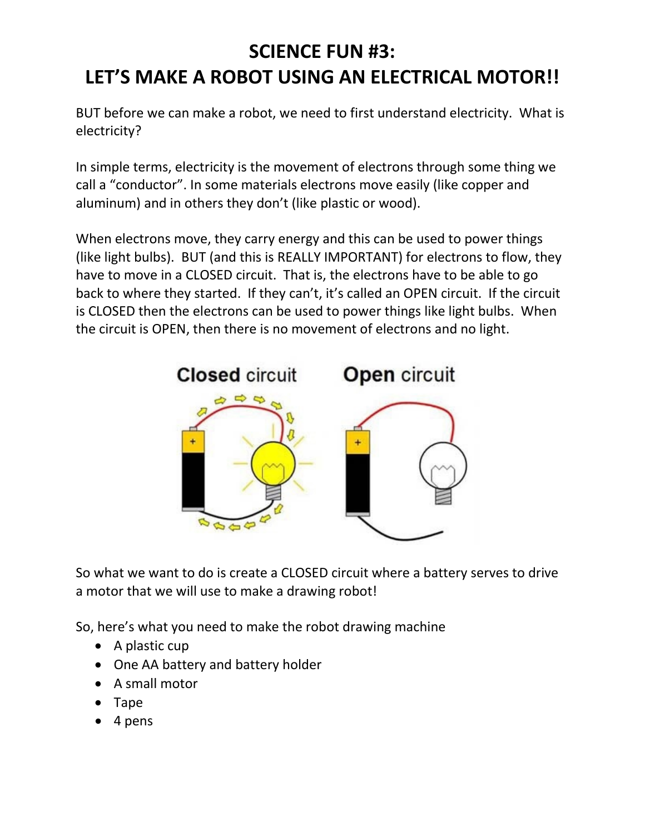## **SCIENCE FUN #3:**

### **LET'S MAKE A ROBOT USING AN ELECTRICAL MOTOR!!**

BUT before we can make a robot, we need to first understand electricity. What is electricity?

In simple terms, electricity is the movement of electrons through some thing we call a "conductor". In some materials electrons move easily (like copper and aluminum) and in others they don't (like plastic or wood).

When electrons move, they carry energy and this can be used to power things (like light bulbs). BUT (and this is REALLY IMPORTANT) for electrons to flow, they have to move in a CLOSED circuit. That is, the electrons have to be able to go back to where they started. If they can't, it's called an OPEN circuit. If the circuit is CLOSED then the electrons can be used to power things like light bulbs. When the circuit is OPEN, then there is no movement of electrons and no light.



So what we want to do is create a CLOSED circuit where a battery serves to drive a motor that we will use to make a drawing robot!

So, here's what you need to make the robot drawing machine

- A plastic cup
- One AA battery and battery holder
- A small motor
- Tape
- 4 pens